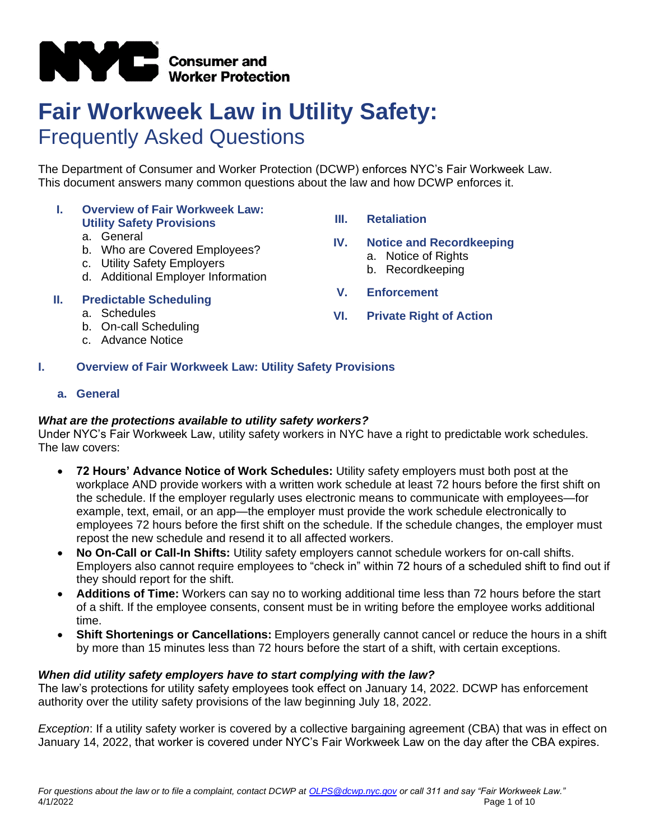

# **Fair Workweek Law in Utility Safety:** Frequently Asked Questions

The Department of Consumer and Worker Protection (DCWP) enforces NYC's Fair Workweek Law. This document answers many common questions about the law and how DCWP enforces it.

#### **I. Overview of Fair Workweek Law: Utility Safety Provisions**

#### a. General

- b. Who are Covered Employees?
- c. Utility Safety Employers
- d. Additional Employer Information
- **II. Predictable Scheduling**
	- a. Schedules
	- b. On-call Scheduling
	- c. Advance Notice

# **III. Retaliation**

# **IV. Notice and Recordkeeping**

- a. Notice of Rights b. Recordkeeping
- 
- **V. Enforcement**
- **VI. Private Right of Action**

#### **I. Overview of Fair Workweek Law: Utility Safety Provisions**

#### **a. General**

# *What are the protections available to utility safety workers?*

Under NYC's Fair Workweek Law, utility safety workers in NYC have a right to predictable work schedules. The law covers:

- **72 Hours' Advance Notice of Work Schedules:** Utility safety employers must both post at the workplace AND provide workers with a written work schedule at least 72 hours before the first shift on the schedule. If the employer regularly uses electronic means to communicate with employees—for example, text, email, or an app—the employer must provide the work schedule electronically to employees 72 hours before the first shift on the schedule. If the schedule changes, the employer must repost the new schedule and resend it to all affected workers.
- **No On-Call or Call-In Shifts:** Utility safety employers cannot schedule workers for on-call shifts. Employers also cannot require employees to "check in" within 72 hours of a scheduled shift to find out if they should report for the shift.
- **Additions of Time:** Workers can say no to working additional time less than 72 hours before the start of a shift. If the employee consents, consent must be in writing before the employee works additional time.
- **Shift Shortenings or Cancellations:** Employers generally cannot cancel or reduce the hours in a shift by more than 15 minutes less than 72 hours before the start of a shift, with certain exceptions.

#### *When did utility safety employers have to start complying with the law?*

The law's protections for utility safety employees took effect on January 14, 2022. DCWP has enforcement authority over the utility safety provisions of the law beginning July 18, 2022.

*Exception*: If a utility safety worker is covered by a collective bargaining agreement (CBA) that was in effect on January 14, 2022, that worker is covered under NYC's Fair Workweek Law on the day after the CBA expires.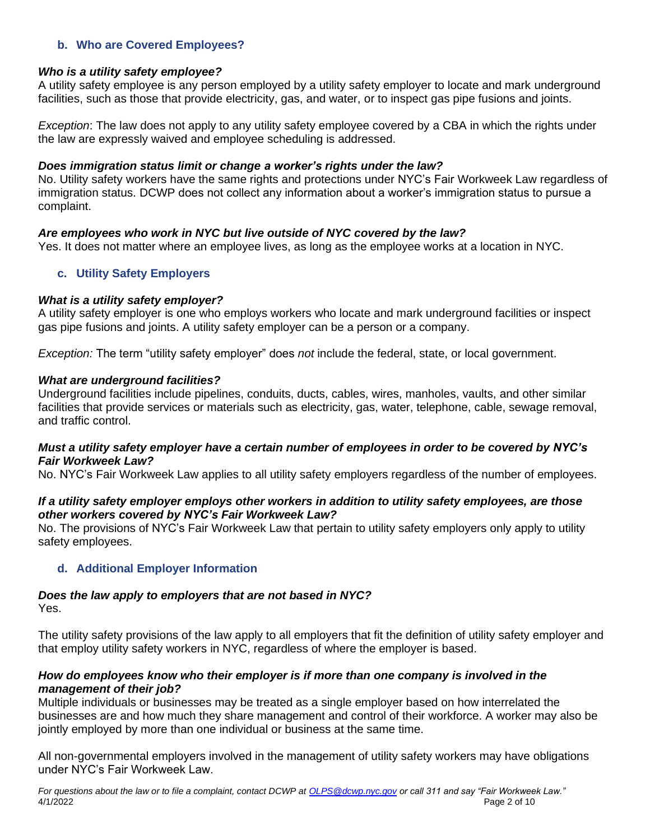# **b. Who are Covered Employees?**

#### *Who is a utility safety employee?*

A utility safety employee is any person employed by a utility safety employer to locate and mark underground facilities, such as those that provide electricity, gas, and water, or to inspect gas pipe fusions and joints.

*Exception*: The law does not apply to any utility safety employee covered by a CBA in which the rights under the law are expressly waived and employee scheduling is addressed.

#### *Does immigration status limit or change a worker's rights under the law?*

No. Utility safety workers have the same rights and protections under NYC's Fair Workweek Law regardless of immigration status. DCWP does not collect any information about a worker's immigration status to pursue a complaint.

# *Are employees who work in NYC but live outside of NYC covered by the law?*

Yes. It does not matter where an employee lives, as long as the employee works at a location in NYC.

# **c. Utility Safety Employers**

#### *What is a utility safety employer?*

A utility safety employer is one who employs workers who locate and mark underground facilities or inspect gas pipe fusions and joints. A utility safety employer can be a person or a company.

*Exception:* The term "utility safety employer" does *not* include the federal, state, or local government.

#### *What are underground facilities?*

Underground facilities include pipelines, conduits, ducts, cables, wires, manholes, vaults, and other similar facilities that provide services or materials such as electricity, gas, water, telephone, cable, sewage removal, and traffic control.

#### *Must a utility safety employer have a certain number of employees in order to be covered by NYC's Fair Workweek Law?*

No. NYC's Fair Workweek Law applies to all utility safety employers regardless of the number of employees.

# *If a utility safety employer employs other workers in addition to utility safety employees, are those other workers covered by NYC's Fair Workweek Law?*

No. The provisions of NYC's Fair Workweek Law that pertain to utility safety employers only apply to utility safety employees.

# **d. Additional Employer Information**

# *Does the law apply to employers that are not based in NYC?*

Yes.

The utility safety provisions of the law apply to all employers that fit the definition of utility safety employer and that employ utility safety workers in NYC, regardless of where the employer is based.

#### *How do employees know who their employer is if more than one company is involved in the management of their job?*

Multiple individuals or businesses may be treated as a single employer based on how interrelated the businesses are and how much they share management and control of their workforce. A worker may also be jointly employed by more than one individual or business at the same time.

All non-governmental employers involved in the management of utility safety workers may have obligations under NYC's Fair Workweek Law.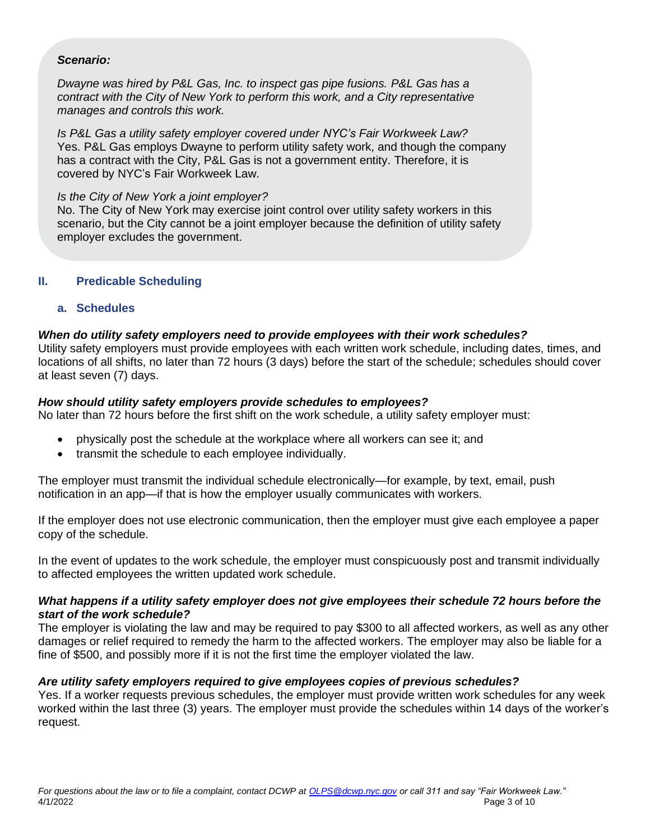#### *Scenario:*

*Dwayne was hired by P&L Gas, Inc. to inspect gas pipe fusions. P&L Gas has a contract with the City of New York to perform this work, and a City representative manages and controls this work.*

*Is P&L Gas a utility safety employer covered under NYC's Fair Workweek Law?* Yes. P&L Gas employs Dwayne to perform utility safety work, and though the company has a contract with the City, P&L Gas is not a government entity. Therefore, it is covered by NYC's Fair Workweek Law.

#### *Is the City of New York a joint employer?*

No. The City of New York may exercise joint control over utility safety workers in this scenario, but the City cannot be a joint employer because the definition of utility safety employer excludes the government.

#### **II. Predicable Scheduling**

#### **a. Schedules**

#### *When do utility safety employers need to provide employees with their work schedules?*

Utility safety employers must provide employees with each written work schedule, including dates, times, and locations of all shifts, no later than 72 hours (3 days) before the start of the schedule; schedules should cover at least seven (7) days.

#### *How should utility safety employers provide schedules to employees?*

No later than 72 hours before the first shift on the work schedule, a utility safety employer must:

- physically post the schedule at the workplace where all workers can see it; and
- transmit the schedule to each employee individually.

The employer must transmit the individual schedule electronically—for example, by text, email, push notification in an app—if that is how the employer usually communicates with workers.

If the employer does not use electronic communication, then the employer must give each employee a paper copy of the schedule.

In the event of updates to the work schedule, the employer must conspicuously post and transmit individually to affected employees the written updated work schedule.

#### *What happens if a utility safety employer does not give employees their schedule 72 hours before the start of the work schedule?*

The employer is violating the law and may be required to pay \$300 to all affected workers, as well as any other damages or relief required to remedy the harm to the affected workers. The employer may also be liable for a fine of \$500, and possibly more if it is not the first time the employer violated the law.

#### *Are utility safety employers required to give employees copies of previous schedules?*

Yes. If a worker requests previous schedules, the employer must provide written work schedules for any week worked within the last three (3) years. The employer must provide the schedules within 14 days of the worker's request.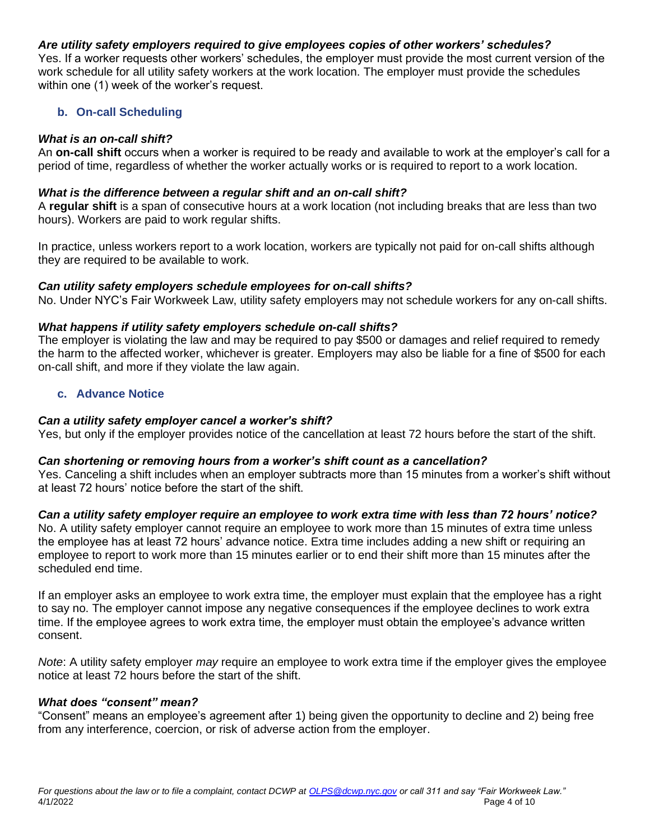# *Are utility safety employers required to give employees copies of other workers' schedules?*

Yes. If a worker requests other workers' schedules, the employer must provide the most current version of the work schedule for all utility safety workers at the work location. The employer must provide the schedules within one (1) week of the worker's request.

# **b. On-call Scheduling**

#### *What is an on-call shift?*

An **on-call shift** occurs when a worker is required to be ready and available to work at the employer's call for a period of time, regardless of whether the worker actually works or is required to report to a work location.

#### *What is the difference between a regular shift and an on-call shift?*

A **regular shift** is a span of consecutive hours at a work location (not including breaks that are less than two hours). Workers are paid to work regular shifts.

In practice, unless workers report to a work location, workers are typically not paid for on-call shifts although they are required to be available to work.

# *Can utility safety employers schedule employees for on-call shifts?*

No. Under NYC's Fair Workweek Law, utility safety employers may not schedule workers for any on-call shifts.

# *What happens if utility safety employers schedule on-call shifts?*

The employer is violating the law and may be required to pay \$500 or damages and relief required to remedy the harm to the affected worker, whichever is greater. Employers may also be liable for a fine of \$500 for each on-call shift, and more if they violate the law again.

#### **c. Advance Notice**

#### *Can a utility safety employer cancel a worker's shift?*

Yes, but only if the employer provides notice of the cancellation at least 72 hours before the start of the shift.

#### *Can shortening or removing hours from a worker's shift count as a cancellation?*

Yes. Canceling a shift includes when an employer subtracts more than 15 minutes from a worker's shift without at least 72 hours' notice before the start of the shift.

# *Can a utility safety employer require an employee to work extra time with less than 72 hours' notice?*

No. A utility safety employer cannot require an employee to work more than 15 minutes of extra time unless the employee has at least 72 hours' advance notice. Extra time includes adding a new shift or requiring an employee to report to work more than 15 minutes earlier or to end their shift more than 15 minutes after the scheduled end time.

If an employer asks an employee to work extra time, the employer must explain that the employee has a right to say no. The employer cannot impose any negative consequences if the employee declines to work extra time. If the employee agrees to work extra time, the employer must obtain the employee's advance written consent.

*Note*: A utility safety employer *may* require an employee to work extra time if the employer gives the employee notice at least 72 hours before the start of the shift.

#### *What does "consent" mean?*

"Consent" means an employee's agreement after 1) being given the opportunity to decline and 2) being free from any interference, coercion, or risk of adverse action from the employer.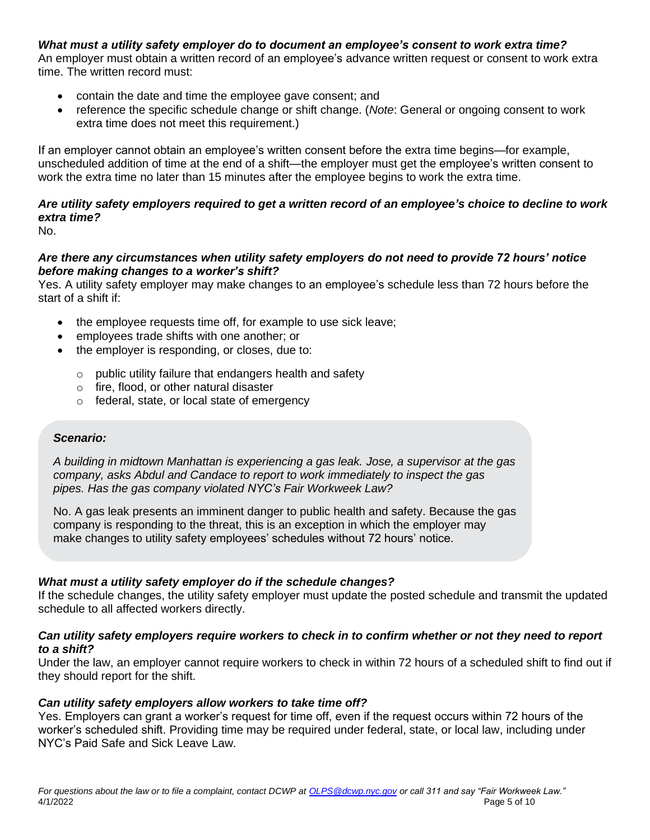# *What must a utility safety employer do to document an employee's consent to work extra time?*

An employer must obtain a written record of an employee's advance written request or consent to work extra time. The written record must:

- contain the date and time the employee gave consent; and
- reference the specific schedule change or shift change. (*Note*: General or ongoing consent to work extra time does not meet this requirement.)

If an employer cannot obtain an employee's written consent before the extra time begins—for example, unscheduled addition of time at the end of a shift—the employer must get the employee's written consent to work the extra time no later than 15 minutes after the employee begins to work the extra time.

# *Are utility safety employers required to get a written record of an employee's choice to decline to work extra time?*

No.

#### *Are there any circumstances when utility safety employers do not need to provide 72 hours' notice before making changes to a worker's shift?*

Yes. A utility safety employer may make changes to an employee's schedule less than 72 hours before the start of a shift if:

- the employee requests time off, for example to use sick leave;
- employees trade shifts with one another; or
- the employer is responding, or closes, due to:
	- o public utility failure that endangers health and safety
	- o fire, flood, or other natural disaster
	- o federal, state, or local state of emergency

#### *Scenario:*

*A building in midtown Manhattan is experiencing a gas leak. Jose, a supervisor at the gas company, asks Abdul and Candace to report to work immediately to inspect the gas pipes. Has the gas company violated NYC's Fair Workweek Law?*

No. A gas leak presents an imminent danger to public health and safety. Because the gas company is responding to the threat, this is an exception in which the employer may make changes to utility safety employees' schedules without 72 hours' notice.

# *What must a utility safety employer do if the schedule changes?*

If the schedule changes, the utility safety employer must update the posted schedule and transmit the updated schedule to all affected workers directly.

#### *Can utility safety employers require workers to check in to confirm whether or not they need to report to a shift?*

Under the law, an employer cannot require workers to check in within 72 hours of a scheduled shift to find out if they should report for the shift.

# *Can utility safety employers allow workers to take time off?*

Yes. Employers can grant a worker's request for time off, even if the request occurs within 72 hours of the worker's scheduled shift. Providing time may be required under federal, state, or local law, including under NYC's Paid Safe and Sick Leave Law.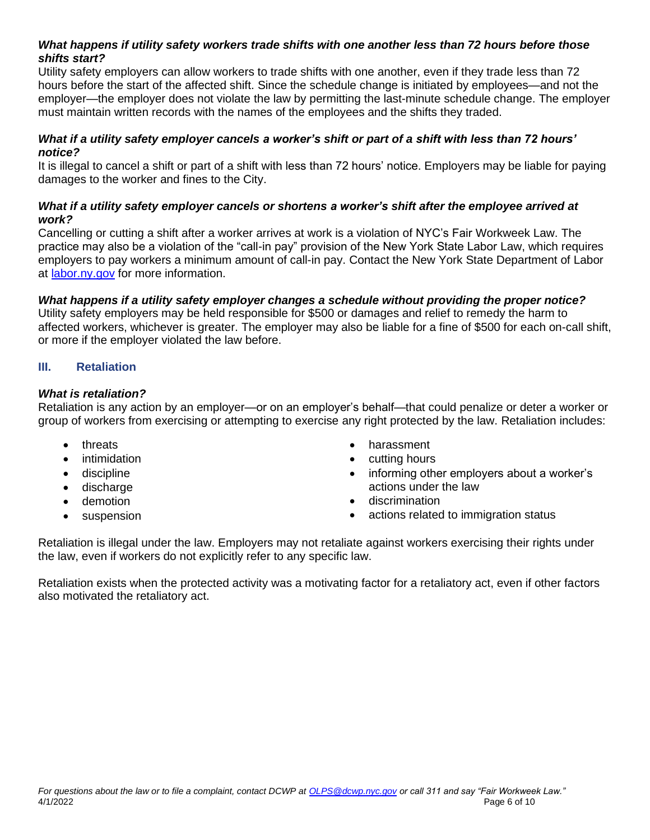# *What happens if utility safety workers trade shifts with one another less than 72 hours before those shifts start?*

Utility safety employers can allow workers to trade shifts with one another, even if they trade less than 72 hours before the start of the affected shift. Since the schedule change is initiated by employees—and not the employer—the employer does not violate the law by permitting the last-minute schedule change. The employer must maintain written records with the names of the employees and the shifts they traded.

#### *What if a utility safety employer cancels a worker's shift or part of a shift with less than 72 hours' notice?*

It is illegal to cancel a shift or part of a shift with less than 72 hours' notice. Employers may be liable for paying damages to the worker and fines to the City.

# *What if a utility safety employer cancels or shortens a worker's shift after the employee arrived at work?*

Cancelling or cutting a shift after a worker arrives at work is a violation of NYC's Fair Workweek Law. The practice may also be a violation of the "call-in pay" provision of the New York State Labor Law, which requires employers to pay workers a minimum amount of call-in pay. Contact the New York State Department of Labor at [labor.ny.gov](https://www.labor.ny.gov/home/) for more information.

# *What happens if a utility safety employer changes a schedule without providing the proper notice?*

Utility safety employers may be held responsible for \$500 or damages and relief to remedy the harm to affected workers, whichever is greater. The employer may also be liable for a fine of \$500 for each on-call shift, or more if the employer violated the law before.

# **III. Retaliation**

# *What is retaliation?*

Retaliation is any action by an employer—or on an employer's behalf—that could penalize or deter a worker or group of workers from exercising or attempting to exercise any right protected by the law. Retaliation includes:

- threats
- **intimidation**
- discipline
- discharge
- demotion
- suspension
- harassment
- cutting hours
- informing other employers about a worker's actions under the law
- discrimination
- actions related to immigration status

Retaliation is illegal under the law. Employers may not retaliate against workers exercising their rights under the law, even if workers do not explicitly refer to any specific law.

Retaliation exists when the protected activity was a motivating factor for a retaliatory act, even if other factors also motivated the retaliatory act.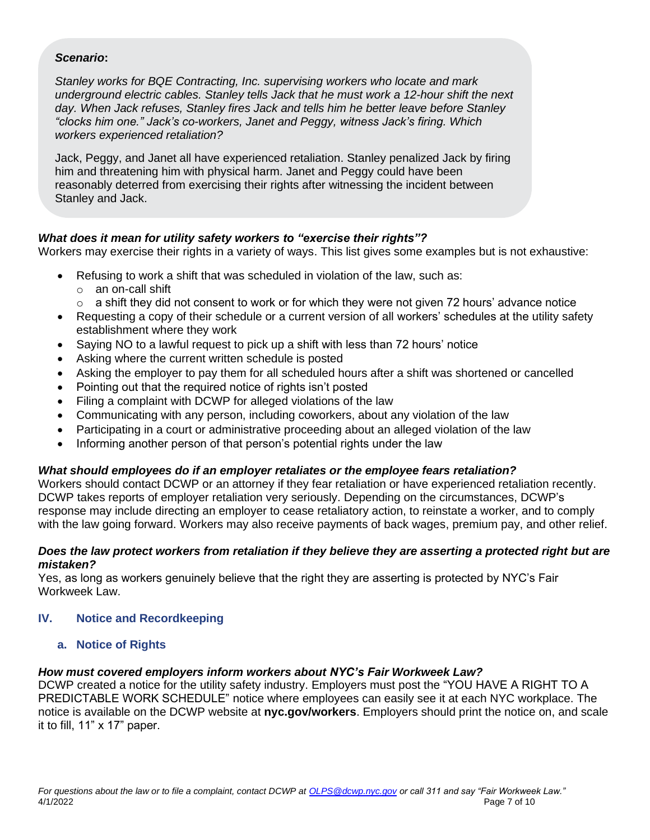#### *Scenario***:**

*Stanley works for BQE Contracting, Inc. supervising workers who locate and mark underground electric cables. Stanley tells Jack that he must work a 12-hour shift the next day. When Jack refuses, Stanley fires Jack and tells him he better leave before Stanley "clocks him one." Jack's co-workers, Janet and Peggy, witness Jack's firing. Which workers experienced retaliation?*

Jack, Peggy, and Janet all have experienced retaliation. Stanley penalized Jack by firing him and threatening him with physical harm. Janet and Peggy could have been reasonably deterred from exercising their rights after witnessing the incident between Stanley and Jack.

# *What does it mean for utility safety workers to "exercise their rights"?*

Workers may exercise their rights in a variety of ways. This list gives some examples but is not exhaustive:

- Refusing to work a shift that was scheduled in violation of the law, such as:
	- o an on-call shift
	- $\circ$  a shift they did not consent to work or for which they were not given 72 hours' advance notice
- Requesting a copy of their schedule or a current version of all workers' schedules at the utility safety establishment where they work
- Saying NO to a lawful request to pick up a shift with less than 72 hours' notice
- Asking where the current written schedule is posted
- Asking the employer to pay them for all scheduled hours after a shift was shortened or cancelled
- Pointing out that the required notice of rights isn't posted
- Filing a complaint with DCWP for alleged violations of the law
- Communicating with any person, including coworkers, about any violation of the law
- Participating in a court or administrative proceeding about an alleged violation of the law
- Informing another person of that person's potential rights under the law

# *What should employees do if an employer retaliates or the employee fears retaliation?*

Workers should contact DCWP or an attorney if they fear retaliation or have experienced retaliation recently. DCWP takes reports of employer retaliation very seriously. Depending on the circumstances, DCWP's response may include directing an employer to cease retaliatory action, to reinstate a worker, and to comply with the law going forward. Workers may also receive payments of back wages, premium pay, and other relief.

#### *Does the law protect workers from retaliation if they believe they are asserting a protected right but are mistaken?*

Yes, as long as workers genuinely believe that the right they are asserting is protected by NYC's Fair Workweek Law.

# **IV. Notice and Recordkeeping**

# **a. Notice of Rights**

# *How must covered employers inform workers about NYC's Fair Workweek Law?*

DCWP created a notice for the utility safety industry. Employers must post the "YOU HAVE A RIGHT TO A PREDICTABLE WORK SCHEDULE" notice where employees can easily see it at each NYC workplace. The notice is available on the DCWP website at **nyc.gov/workers**. Employers should print the notice on, and scale it to fill, 11" x 17" paper.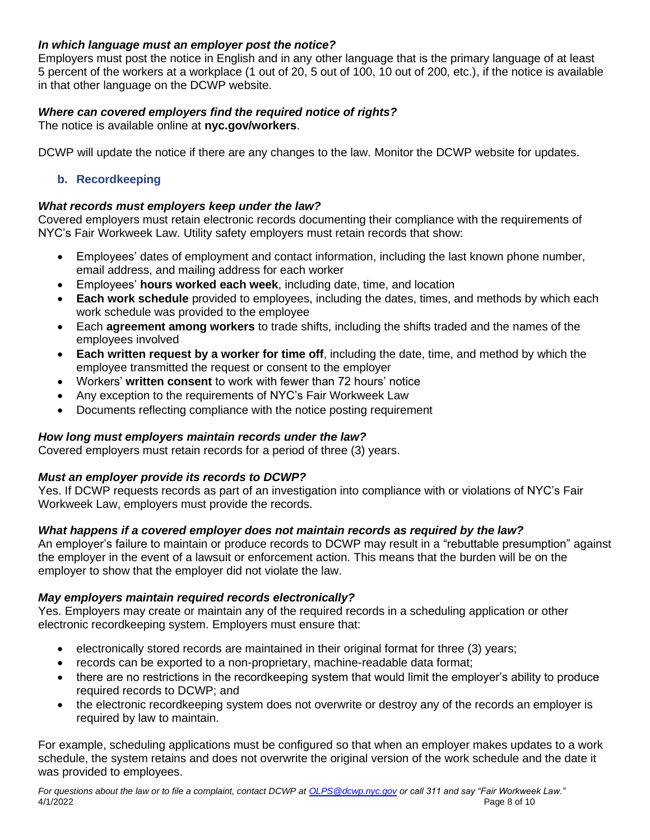# *In which language must an employer post the notice?*

Employers must post the notice in English and in any other language that is the primary language of at least 5 percent of the workers at a workplace (1 out of 20, 5 out of 100, 10 out of 200, etc.), if the notice is available in that other language on the DCWP website.

# *Where can covered employers find the required notice of rights?*

The notice is available online at **nyc.gov/workers**.

DCWP will update the notice if there are any changes to the law. Monitor the DCWP website for updates.

# **b. Recordkeeping**

# *What records must employers keep under the law?*

Covered employers must retain electronic records documenting their compliance with the requirements of NYC's Fair Workweek Law. Utility safety employers must retain records that show:

- Employees' dates of employment and contact information, including the last known phone number, email address, and mailing address for each worker
- Employees' **hours worked each week**, including date, time, and location
- **Each work schedule** provided to employees, including the dates, times, and methods by which each work schedule was provided to the employee
- Each **agreement among workers** to trade shifts, including the shifts traded and the names of the employees involved
- **Each written request by a worker for time off**, including the date, time, and method by which the employee transmitted the request or consent to the employer
- Workers' **written consent** to work with fewer than 72 hours' notice
- Any exception to the requirements of NYC's Fair Workweek Law
- Documents reflecting compliance with the notice posting requirement

# *How long must employers maintain records under the law?*

Covered employers must retain records for a period of three (3) years.

# *Must an employer provide its records to DCWP?*

Yes. If DCWP requests records as part of an investigation into compliance with or violations of NYC's Fair Workweek Law, employers must provide the records.

# *What happens if a covered employer does not maintain records as required by the law?*

An employer's failure to maintain or produce records to DCWP may result in a "rebuttable presumption" against the employer in the event of a lawsuit or enforcement action. This means that the burden will be on the employer to show that the employer did not violate the law.

# *May employers maintain required records electronically?*

Yes. Employers may create or maintain any of the required records in a scheduling application or other electronic recordkeeping system. Employers must ensure that:

- electronically stored records are maintained in their original format for three (3) years;
- records can be exported to a non-proprietary, machine-readable data format;
- there are no restrictions in the recordkeeping system that would limit the employer's ability to produce required records to DCWP; and
- the electronic recordkeeping system does not overwrite or destroy any of the records an employer is required by law to maintain.

For example, scheduling applications must be configured so that when an employer makes updates to a work schedule, the system retains and does not overwrite the original version of the work schedule and the date it was provided to employees.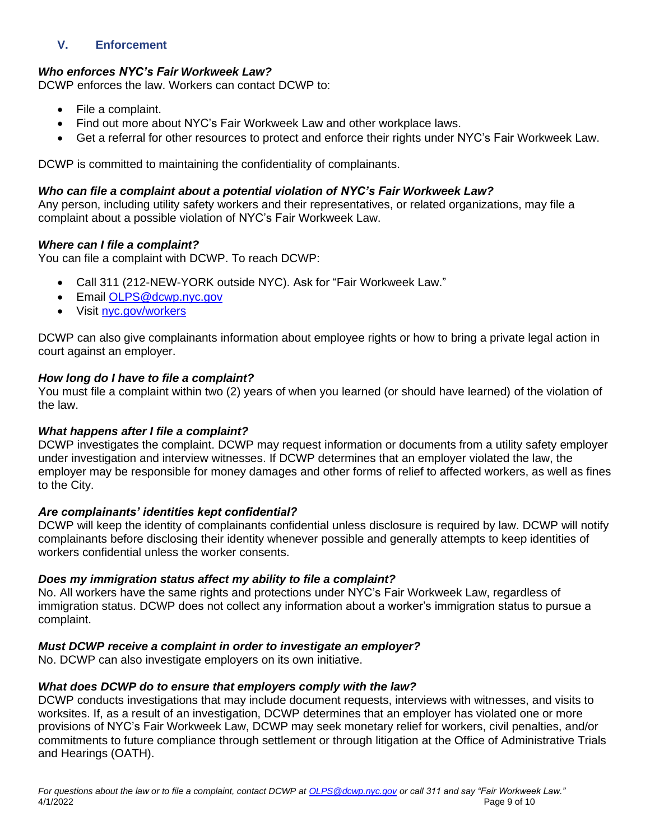# **V. Enforcement**

# *Who enforces NYC's Fair Workweek Law?*

DCWP enforces the law. Workers can contact DCWP to:

- File a complaint.
- Find out more about NYC's Fair Workweek Law and other workplace laws.
- Get a referral for other resources to protect and enforce their rights under NYC's Fair Workweek Law.

DCWP is committed to maintaining the confidentiality of complainants.

#### *Who can file a complaint about a potential violation of NYC's Fair Workweek Law?*

Any person, including utility safety workers and their representatives, or related organizations, may file a complaint about a possible violation of NYC's Fair Workweek Law.

#### *Where can I file a complaint?*

You can file a complaint with DCWP. To reach DCWP:

- Call 311 (212-NEW-YORK outside NYC). Ask for "Fair Workweek Law."
- Email [OLPS@dcwp.nyc.gov](mailto:OLPS@dcwp.nyc.gov)
- Visit [nyc.gov/workers](https://www1.nyc.gov/site/dca/workers/worker-rights.page)

DCWP can also give complainants information about employee rights or how to bring a private legal action in court against an employer.

#### *How long do I have to file a complaint?*

You must file a complaint within two (2) years of when you learned (or should have learned) of the violation of the law.

# *What happens after I file a complaint?*

DCWP investigates the complaint. DCWP may request information or documents from a utility safety employer under investigation and interview witnesses. If DCWP determines that an employer violated the law, the employer may be responsible for money damages and other forms of relief to affected workers, as well as fines to the City.

#### *Are complainants' identities kept confidential?*

DCWP will keep the identity of complainants confidential unless disclosure is required by law. DCWP will notify complainants before disclosing their identity whenever possible and generally attempts to keep identities of workers confidential unless the worker consents.

#### *Does my immigration status affect my ability to file a complaint?*

No. All workers have the same rights and protections under NYC's Fair Workweek Law, regardless of immigration status. DCWP does not collect any information about a worker's immigration status to pursue a complaint.

# *Must DCWP receive a complaint in order to investigate an employer?*

No. DCWP can also investigate employers on its own initiative.

#### *What does DCWP do to ensure that employers comply with the law?*

DCWP conducts investigations that may include document requests, interviews with witnesses, and visits to worksites. If, as a result of an investigation, DCWP determines that an employer has violated one or more provisions of NYC's Fair Workweek Law, DCWP may seek monetary relief for workers, civil penalties, and/or commitments to future compliance through settlement or through litigation at the Office of Administrative Trials and Hearings (OATH).